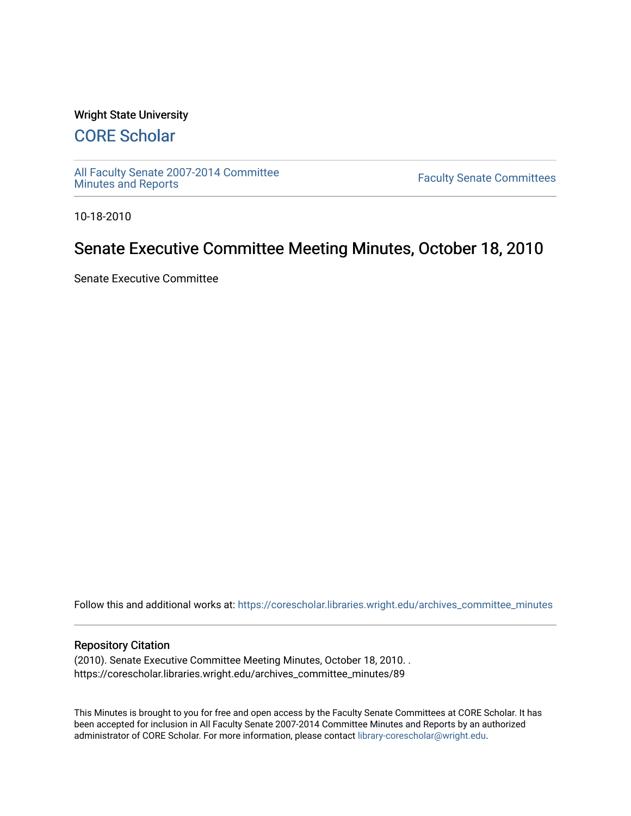### Wright State University

# [CORE Scholar](https://corescholar.libraries.wright.edu/)

[All Faculty Senate 2007-2014 Committee](https://corescholar.libraries.wright.edu/archives_committee_minutes)

**Faculty Senate Committees** 

10-18-2010

# Senate Executive Committee Meeting Minutes, October 18, 2010

Senate Executive Committee

Follow this and additional works at: [https://corescholar.libraries.wright.edu/archives\\_committee\\_minutes](https://corescholar.libraries.wright.edu/archives_committee_minutes?utm_source=corescholar.libraries.wright.edu%2Farchives_committee_minutes%2F89&utm_medium=PDF&utm_campaign=PDFCoverPages) 

#### Repository Citation

(2010). Senate Executive Committee Meeting Minutes, October 18, 2010. . https://corescholar.libraries.wright.edu/archives\_committee\_minutes/89

This Minutes is brought to you for free and open access by the Faculty Senate Committees at CORE Scholar. It has been accepted for inclusion in All Faculty Senate 2007-2014 Committee Minutes and Reports by an authorized administrator of CORE Scholar. For more information, please contact [library-corescholar@wright.edu.](mailto:library-corescholar@wright.edu)